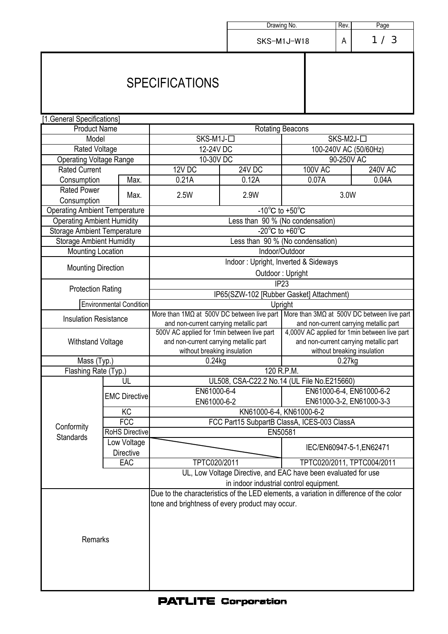|                                                                         |                       |                                                                                                               |                            | Drawing No.           | Rev. | Page           |  |
|-------------------------------------------------------------------------|-----------------------|---------------------------------------------------------------------------------------------------------------|----------------------------|-----------------------|------|----------------|--|
|                                                                         |                       |                                                                                                               |                            |                       |      |                |  |
|                                                                         |                       |                                                                                                               |                            | Α<br>SKS-M1J-W18      |      | 1/3            |  |
| <b>SPECIFICATIONS</b>                                                   |                       |                                                                                                               |                            |                       |      |                |  |
| [1.General Specifications]                                              |                       |                                                                                                               |                            |                       |      |                |  |
| <b>Product Name</b>                                                     |                       | <b>Rotating Beacons</b>                                                                                       |                            |                       |      |                |  |
| Model                                                                   |                       | SKS-M1J-□<br>SKS-M2J-□                                                                                        |                            |                       |      |                |  |
| Rated Voltage                                                           |                       | 12-24V DC                                                                                                     |                            | 100-240V AC (50/60Hz) |      |                |  |
| <b>Operating Voltage Range</b>                                          |                       | 10-30V DC                                                                                                     |                            | 90-250V AC            |      |                |  |
| <b>Rated Current</b>                                                    |                       |                                                                                                               | <b>24V DC</b>              | <b>100V AC</b>        |      | <b>240V AC</b> |  |
| Consumption                                                             | Max.                  | $12V$ DC<br>0.21A                                                                                             | 0.12A                      | 0.07A                 |      | 0.04A          |  |
| <b>Rated Power</b>                                                      |                       |                                                                                                               |                            |                       |      |                |  |
| Max.<br>Consumption                                                     |                       | 2.5W                                                                                                          | 2.9W                       | 3.0W                  |      |                |  |
| <b>Operating Ambient Temperature</b>                                    |                       | $-10^{\circ}$ C to $+50^{\circ}$ C                                                                            |                            |                       |      |                |  |
|                                                                         |                       | Less than 90 % (No condensation)                                                                              |                            |                       |      |                |  |
| <b>Operating Ambient Humidity</b><br><b>Storage Ambient Temperature</b> |                       | $-20^{\circ}$ C to $+60^{\circ}$ C                                                                            |                            |                       |      |                |  |
| <b>Storage Ambient Humidity</b>                                         |                       | Less than 90 % (No condensation)                                                                              |                            |                       |      |                |  |
| Mounting Location                                                       |                       | Indoor/Outdoor                                                                                                |                            |                       |      |                |  |
| <b>Mounting Direction</b><br><b>Protection Rating</b>                   |                       | Indoor: Upright, Inverted & Sideways                                                                          |                            |                       |      |                |  |
|                                                                         |                       | Outdoor: Upright                                                                                              |                            |                       |      |                |  |
|                                                                         |                       | IP <sub>23</sub>                                                                                              |                            |                       |      |                |  |
|                                                                         |                       | IP65(SZW-102 [Rubber Gasket] Attachment)                                                                      |                            |                       |      |                |  |
| <b>Environmental Condition</b>                                          |                       | Upright                                                                                                       |                            |                       |      |                |  |
| <b>Insulation Resistance</b>                                            |                       | More than $1\text{M}\Omega$ at 500V DC between live part<br>More than $3M\Omega$ at 500V DC between live part |                            |                       |      |                |  |
|                                                                         |                       | and non-current carrying metallic part<br>and non-current carrying metallic part                              |                            |                       |      |                |  |
| <b>Withstand Voltage</b>                                                |                       | 500V AC applied for 1min between live part<br>4,000V AC applied for 1min between live part                    |                            |                       |      |                |  |
|                                                                         |                       | and non-current carrying metallic part<br>and non-current carrying metallic part                              |                            |                       |      |                |  |
|                                                                         |                       | without breaking insulation<br>without breaking insulation                                                    |                            |                       |      |                |  |
| Mass (Typ.)                                                             |                       | $0.24$ kg<br>$0.27$ kg                                                                                        |                            |                       |      |                |  |
| Flashing Rate (Typ.)                                                    |                       | 120 R.P.M.                                                                                                    |                            |                       |      |                |  |
|                                                                         | UL                    | UL508, CSA-C22.2 No.14 (UL File No.E215660)                                                                   |                            |                       |      |                |  |
|                                                                         | <b>EMC Directive</b>  | EN61000-6-4                                                                                                   | EN61000-6-4, EN61000-6-2   |                       |      |                |  |
|                                                                         |                       | EN61000-6-2<br>EN61000-3-2, EN61000-3-3                                                                       |                            |                       |      |                |  |
|                                                                         | KC                    | KN61000-6-4, KN61000-6-2                                                                                      |                            |                       |      |                |  |
|                                                                         | FCC                   | FCC Part15 SubpartB ClassA, ICES-003 ClassA                                                                   |                            |                       |      |                |  |
| Conformity<br><b>Standards</b>                                          | <b>RoHS Directive</b> | EN50581                                                                                                       |                            |                       |      |                |  |
|                                                                         | Low Voltage           |                                                                                                               |                            |                       |      |                |  |
|                                                                         | <b>Directive</b>      |                                                                                                               | IEC/EN60947-5-1, EN62471   |                       |      |                |  |
|                                                                         | EAC                   | TPTC020/2011                                                                                                  | TPTC020/2011, TPTC004/2011 |                       |      |                |  |
|                                                                         |                       | UL, Low Voltage Directive, and EAC have been evaluated for use                                                |                            |                       |      |                |  |
|                                                                         |                       | in indoor industrial control equipment.                                                                       |                            |                       |      |                |  |
|                                                                         |                       | Due to the characteristics of the LED elements, a variation in difference of the color                        |                            |                       |      |                |  |
|                                                                         |                       | tone and brightness of every product may occur.                                                               |                            |                       |      |                |  |
|                                                                         |                       |                                                                                                               |                            |                       |      |                |  |
|                                                                         |                       |                                                                                                               |                            |                       |      |                |  |
|                                                                         |                       |                                                                                                               |                            |                       |      |                |  |
| Remarks                                                                 |                       |                                                                                                               |                            |                       |      |                |  |
|                                                                         |                       |                                                                                                               |                            |                       |      |                |  |
|                                                                         |                       |                                                                                                               |                            |                       |      |                |  |
|                                                                         |                       |                                                                                                               |                            |                       |      |                |  |
|                                                                         |                       |                                                                                                               |                            |                       |      |                |  |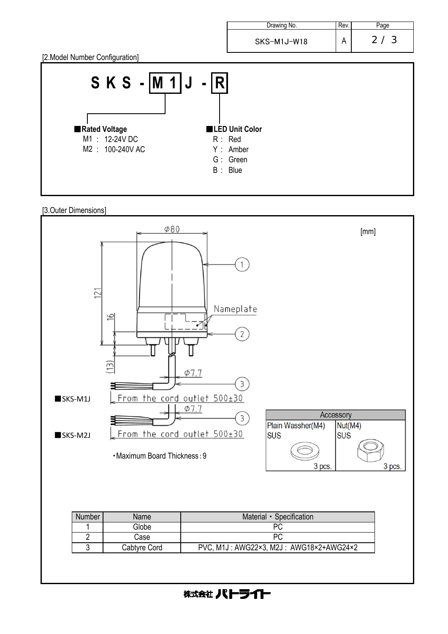

[3.Outer Dimensions]



株式会社 パトライト